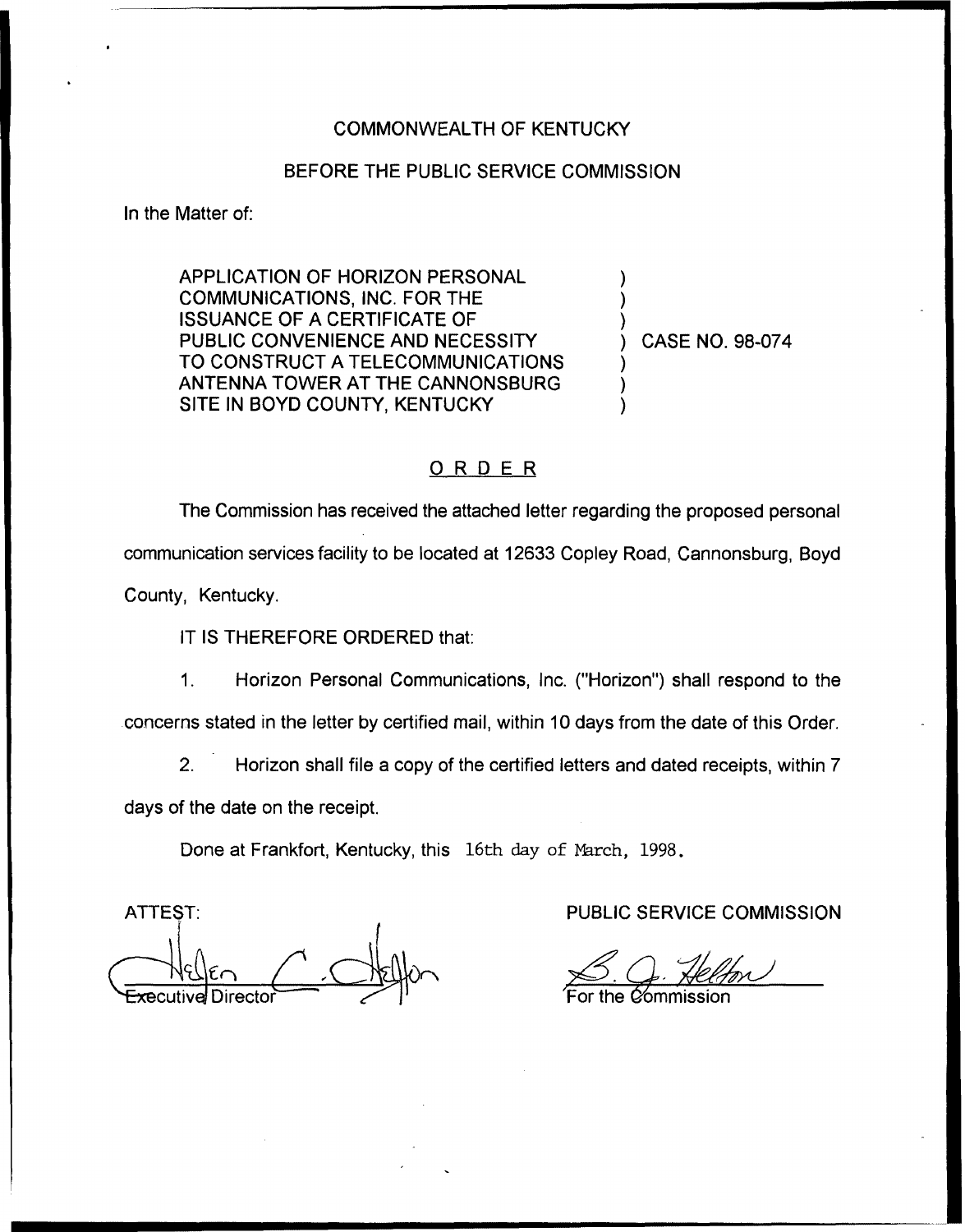#### COMMONWEALTH OF KENTUCKY

## BEFORE THE PUBLIC SERVICE COMMISSION

In the Matter of:

APPLICATION OF HORIZON PERSONAL COMMUNICATIONS, INC. FOR THE ISSUANCE OF A CERTIFICATE OF PUBLIC CONVENIENCE AND NECESSITY TO CONSTRUCT A TELECOMMUNICATIONS ANTENNA TOWER AT THE CANNONSBURG SITE IN BOYD COUNTY, KENTUCKY

) CASE NO. 98-074

) ) )

) ) )

# ORDER

The Commission has received the attached letter regarding the proposed personal communication services facility to be located at 12633 Copley Road, Cannonsburg, Boyd County, Kentucky,

## IT IS THEREFORE ORDERED that:

Horizon Personal Communications, Inc. ("Horizon") shall respond to the  $1<sub>1</sub>$ concerns stated in the letter by certified mail, within 10 days from the date of this Order.

 $2.$ Horizon shall file a copy of the certified letters and dated receipts, within 7 days of the date on the receipt.

Done at Frankfort, Kentucky, this 16th day of March, 1998.

ATTEST: ive<mark>l</mark> Directo

PUBLIC SERVICE COMMISSION

#### For the C⁄ommissio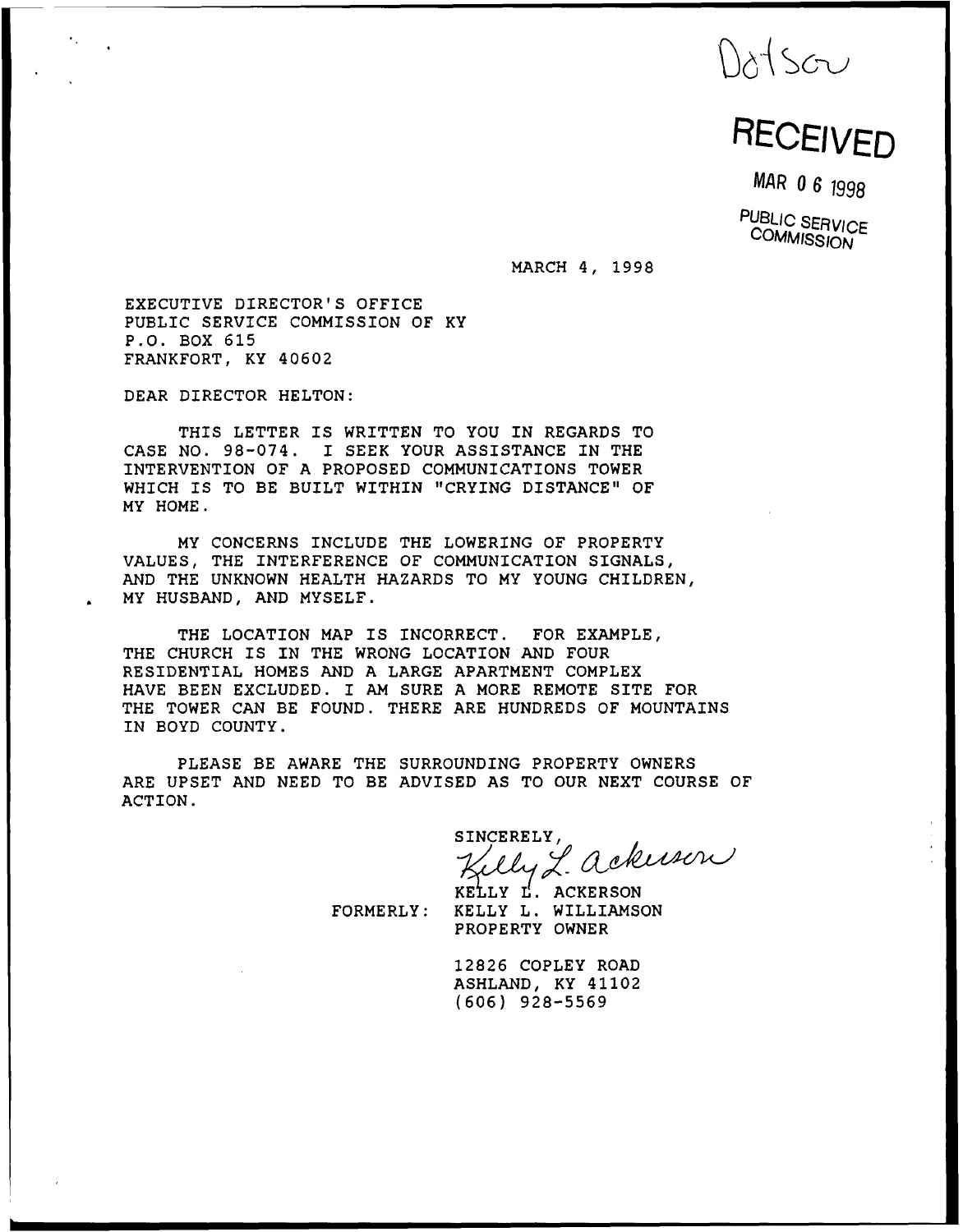Datson<br>RECEIVED

MAR 0 6 1998

PUBLIC SERVICE **COMMISSION** 

MARCH 4, 1998

EXECUTIVE DIRECTOR'S OFFICE PUBLIC SERVICE COMMISSION OF KY P.O. BOX 615 FRANKFORT, KY 40602

DEAR DIRECTOR HELTON:

THIS LETTER IS WRITTEN TO YOU IN REGARDS TO CASE NO. 98-074. I SEEK YOUR ASSISTANCE IN THE INTERVENTION OF A PROPOSED COMMUNICATIONS TOWER WHICH IS TO BE BUILT WITHIN "CRYING DISTANCE" OF MY HOME.

MY CONCERNS INCLUDE THE LOWERING OF PROPERTY VALUES, THE INTERFERENCE OF COMMUNICATION SIGNALS, AND THE UNKNOWN HEALTH HAZARDS TO MY YOUNG CHILDREN, MY HUSBAND, AND MYSELF.

THE LOCATION MAP IS INCORRECT. FOR EXAMPLE, THE CHURCH IS IN THE WRONG LOCATION AND FOUR RESIDENTIAL HOMES AND A LARGE APARTMENT COMPLEX HAVE BEEN EXCLUDED. I AM SURE <sup>A</sup> MORE REMOTE SITE FOR THE TOWER CAN BE FOUND. THERE ARE HUNDREDS OF MOUNTAINS IN BOYD COUNTY.

PLEASE BE AWARE THE SURROUNDING PROPERTY OWNERS ARE UPSET AND NEED TO BE ADVISED AS TO OUR NEXT COURSE OF ACTION.

SINCERELY,<br>Kelly L. ackuser

KELLY L. ACKERSON FORMERLY: KELLY L. WILLIAMSON PROPERTY OWNER

> 12826 COPLEY ROAD ASHLAND, KY 41102 (606) 928-5569